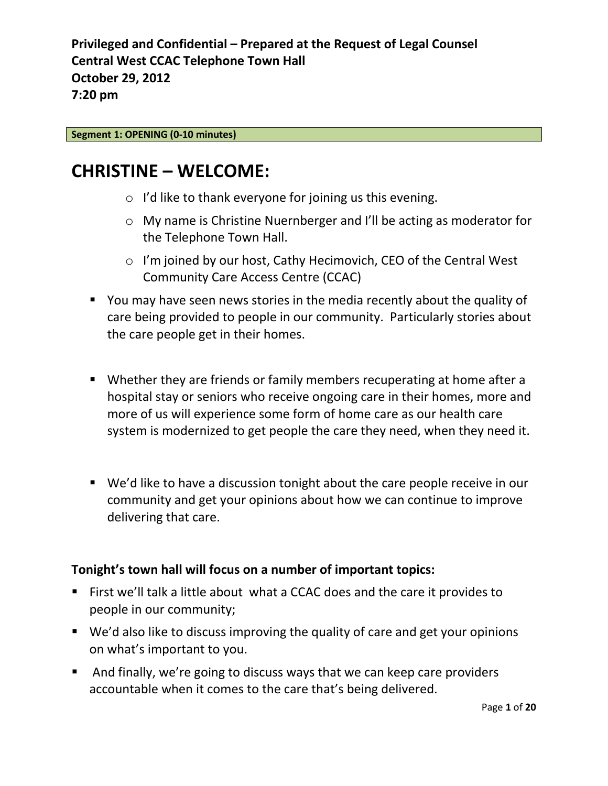#### **Segment 1: OPENING (0-10 minutes)**

### **CHRISTINE – WELCOME:**

- o I'd like to thank everyone for joining us this evening.
- o My name is Christine Nuernberger and I'll be acting as moderator for the Telephone Town Hall.
- o I'm joined by our host, Cathy Hecimovich, CEO of the Central West Community Care Access Centre (CCAC)
- You may have seen news stories in the media recently about the quality of care being provided to people in our community. Particularly stories about the care people get in their homes.
- Whether they are friends or family members recuperating at home after a hospital stay or seniors who receive ongoing care in their homes, more and more of us will experience some form of home care as our health care system is modernized to get people the care they need, when they need it.
- We'd like to have a discussion tonight about the care people receive in our community and get your opinions about how we can continue to improve delivering that care.

#### **Tonight's town hall will focus on a number of important topics:**

- First we'll talk a little about what a CCAC does and the care it provides to people in our community;
- We'd also like to discuss improving the quality of care and get your opinions on what's important to you.
- And finally, we're going to discuss ways that we can keep care providers accountable when it comes to the care that's being delivered.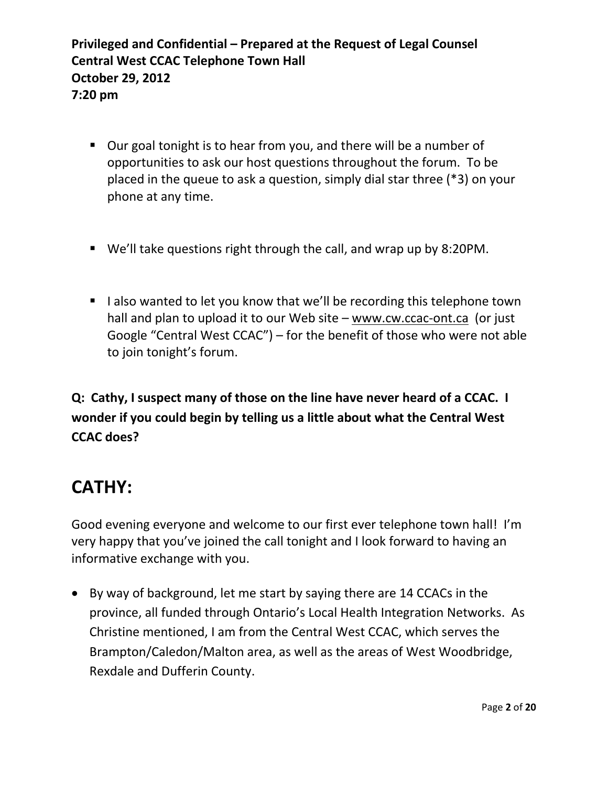- Our goal tonight is to hear from you, and there will be a number of opportunities to ask our host questions throughout the forum. To be placed in the queue to ask a question, simply dial star three (\*3) on your phone at any time.
- We'll take questions right through the call, and wrap up by 8:20PM.
- I lalso wanted to let you know that we'll be recording this telephone town hall and plan to upload it to our Web site – [www.cw.ccac-ont.ca](http://www.cw.ccac-ont.ca/) (or just Google "Central West CCAC") – for the benefit of those who were not able to join tonight's forum.

**Q: Cathy, I suspect many of those on the line have never heard of a CCAC. I wonder if you could begin by telling us a little about what the Central West CCAC does?**

# **CATHY:**

Good evening everyone and welcome to our first ever telephone town hall! I'm very happy that you've joined the call tonight and I look forward to having an informative exchange with you.

 By way of background, let me start by saying there are 14 CCACs in the province, all funded through Ontario's Local Health Integration Networks. As Christine mentioned, I am from the Central West CCAC, which serves the Brampton/Caledon/Malton area, as well as the areas of West Woodbridge, Rexdale and Dufferin County.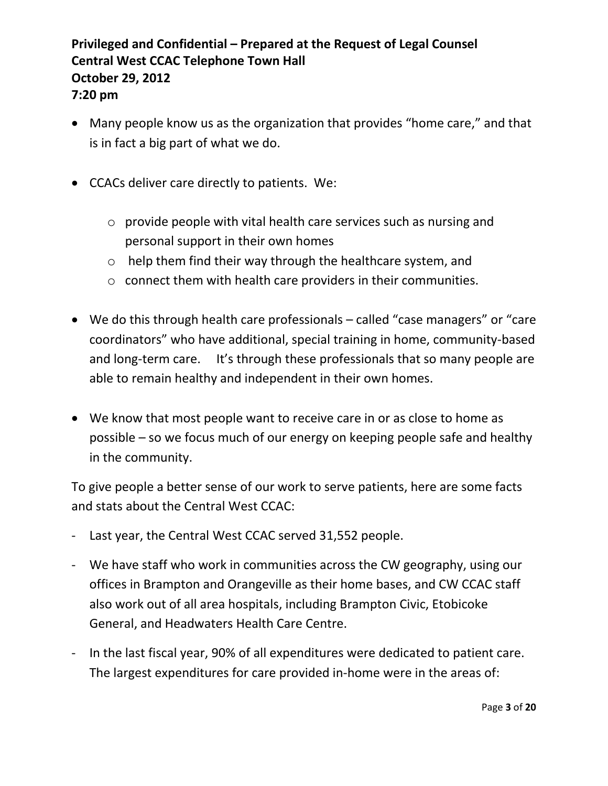- Many people know us as the organization that provides "home care," and that is in fact a big part of what we do.
- CCACs deliver care directly to patients. We:
	- o provide people with vital health care services such as nursing and personal support in their own homes
	- o help them find their way through the healthcare system, and
	- o connect them with health care providers in their communities.
- We do this through health care professionals called "case managers" or "care coordinators" who have additional, special training in home, community-based and long-term care. It's through these professionals that so many people are able to remain healthy and independent in their own homes.
- We know that most people want to receive care in or as close to home as possible – so we focus much of our energy on keeping people safe and healthy in the community.

To give people a better sense of our work to serve patients, here are some facts and stats about the Central West CCAC:

- Last year, the Central West CCAC served 31,552 people.
- We have staff who work in communities across the CW geography, using our offices in Brampton and Orangeville as their home bases, and CW CCAC staff also work out of all area hospitals, including Brampton Civic, Etobicoke General, and Headwaters Health Care Centre.
- In the last fiscal year, 90% of all expenditures were dedicated to patient care. The largest expenditures for care provided in-home were in the areas of: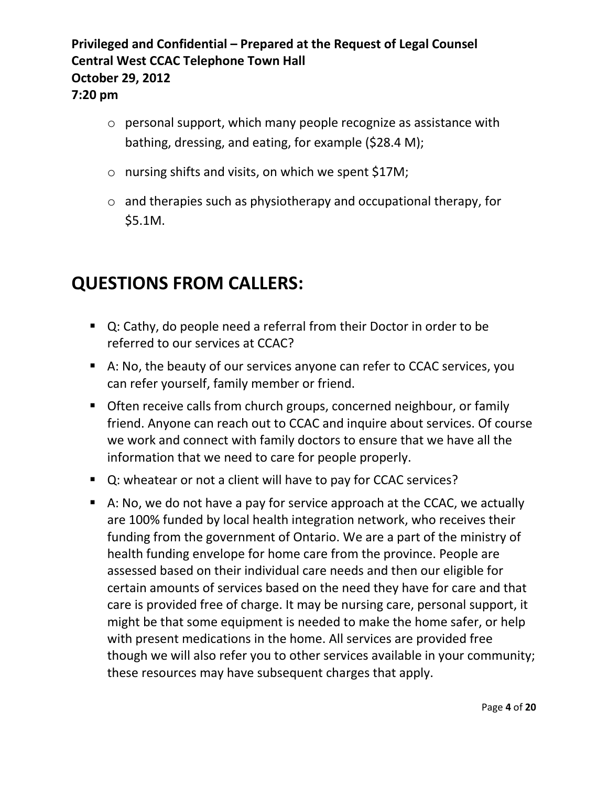- o personal support, which many people recognize as assistance with bathing, dressing, and eating, for example (\$28.4 M);
- o nursing shifts and visits, on which we spent \$17M;
- o and therapies such as physiotherapy and occupational therapy, for \$5.1M.

- Q: Cathy, do people need a referral from their Doctor in order to be referred to our services at CCAC?
- A: No, the beauty of our services anyone can refer to CCAC services, you can refer yourself, family member or friend.
- **Often receive calls from church groups, concerned neighbour, or family** friend. Anyone can reach out to CCAC and inquire about services. Of course we work and connect with family doctors to ensure that we have all the information that we need to care for people properly.
- Q: wheatear or not a client will have to pay for CCAC services?
- A: No, we do not have a pay for service approach at the CCAC, we actually are 100% funded by local health integration network, who receives their funding from the government of Ontario. We are a part of the ministry of health funding envelope for home care from the province. People are assessed based on their individual care needs and then our eligible for certain amounts of services based on the need they have for care and that care is provided free of charge. It may be nursing care, personal support, it might be that some equipment is needed to make the home safer, or help with present medications in the home. All services are provided free though we will also refer you to other services available in your community; these resources may have subsequent charges that apply.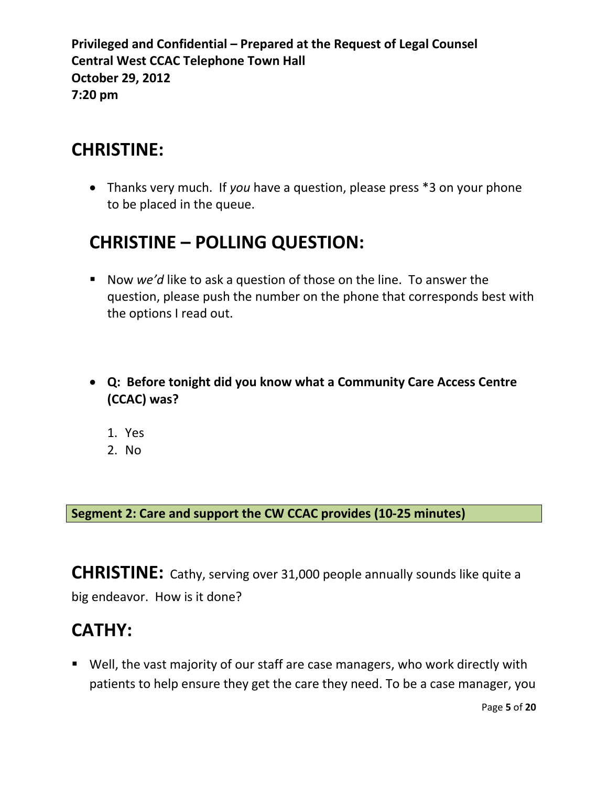### **CHRISTINE:**

 Thanks very much. If *you* have a question, please press \*3 on your phone to be placed in the queue.

# **CHRISTINE – POLLING QUESTION:**

- Now *we'd* like to ask a question of those on the line. To answer the question, please push the number on the phone that corresponds best with the options I read out.
- **Q: Before tonight did you know what a Community Care Access Centre (CCAC) was?**
	- 1. Yes
	- 2. No

**Segment 2: Care and support the CW CCAC provides (10-25 minutes)**

**CHRISTINE:** Cathy, serving over 31,000 people annually sounds like quite a big endeavor. How is it done?

## **CATHY:**

 Well, the vast majority of our staff are case managers, who work directly with patients to help ensure they get the care they need. To be a case manager, you

Page **5** of **20**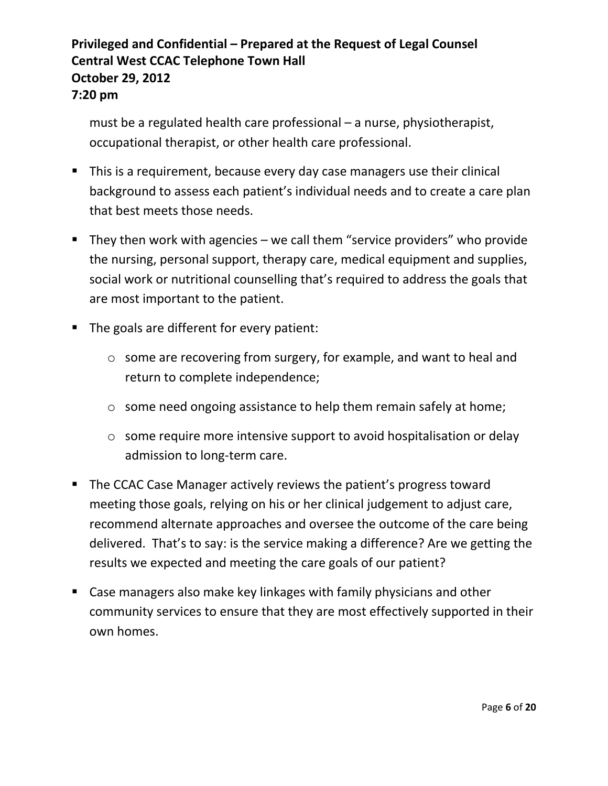must be a regulated health care professional – a nurse, physiotherapist, occupational therapist, or other health care professional.

- This is a requirement, because every day case managers use their clinical background to assess each patient's individual needs and to create a care plan that best meets those needs.
- They then work with agencies we call them "service providers" who provide the nursing, personal support, therapy care, medical equipment and supplies, social work or nutritional counselling that's required to address the goals that are most important to the patient.
- The goals are different for every patient:
	- o some are recovering from surgery, for example, and want to heal and return to complete independence;
	- o some need ongoing assistance to help them remain safely at home;
	- o some require more intensive support to avoid hospitalisation or delay admission to long-term care.
- The CCAC Case Manager actively reviews the patient's progress toward meeting those goals, relying on his or her clinical judgement to adjust care, recommend alternate approaches and oversee the outcome of the care being delivered. That's to say: is the service making a difference? Are we getting the results we expected and meeting the care goals of our patient?
- Case managers also make key linkages with family physicians and other community services to ensure that they are most effectively supported in their own homes.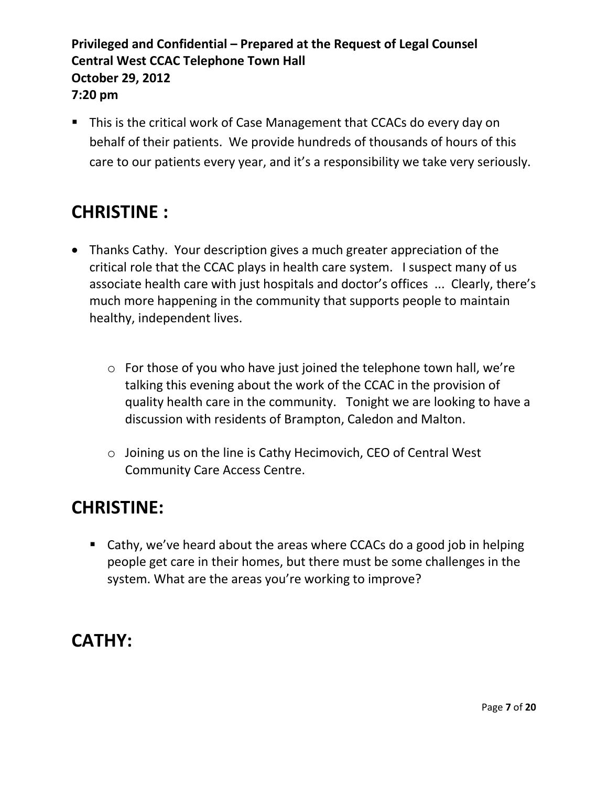• This is the critical work of Case Management that CCACs do every day on behalf of their patients. We provide hundreds of thousands of hours of this care to our patients every year, and it's a responsibility we take very seriously.

# **CHRISTINE :**

- Thanks Cathy. Your description gives a much greater appreciation of the critical role that the CCAC plays in health care system. I suspect many of us associate health care with just hospitals and doctor's offices ... Clearly, there's much more happening in the community that supports people to maintain healthy, independent lives.
	- o For those of you who have just joined the telephone town hall, we're talking this evening about the work of the CCAC in the provision of quality health care in the community. Tonight we are looking to have a discussion with residents of Brampton, Caledon and Malton.
	- o Joining us on the line is Cathy Hecimovich, CEO of Central West Community Care Access Centre.

### **CHRISTINE:**

■ Cathy, we've heard about the areas where CCACs do a good job in helping people get care in their homes, but there must be some challenges in the system. What are the areas you're working to improve?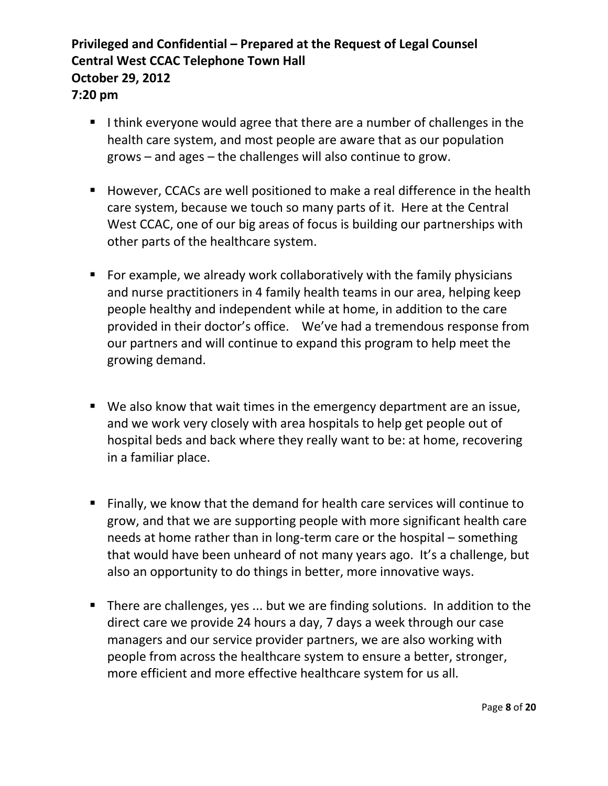- I think everyone would agree that there are a number of challenges in the health care system, and most people are aware that as our population grows – and ages – the challenges will also continue to grow.
- However, CCACs are well positioned to make a real difference in the health care system, because we touch so many parts of it. Here at the Central West CCAC, one of our big areas of focus is building our partnerships with other parts of the healthcare system.
- For example, we already work collaboratively with the family physicians and nurse practitioners in 4 family health teams in our area, helping keep people healthy and independent while at home, in addition to the care provided in their doctor's office. We've had a tremendous response from our partners and will continue to expand this program to help meet the growing demand.
- We also know that wait times in the emergency department are an issue, and we work very closely with area hospitals to help get people out of hospital beds and back where they really want to be: at home, recovering in a familiar place.
- Finally, we know that the demand for health care services will continue to grow, and that we are supporting people with more significant health care needs at home rather than in long-term care or the hospital – something that would have been unheard of not many years ago. It's a challenge, but also an opportunity to do things in better, more innovative ways.
- **There are challenges, yes ... but we are finding solutions. In addition to the** direct care we provide 24 hours a day, 7 days a week through our case managers and our service provider partners, we are also working with people from across the healthcare system to ensure a better, stronger, more efficient and more effective healthcare system for us all.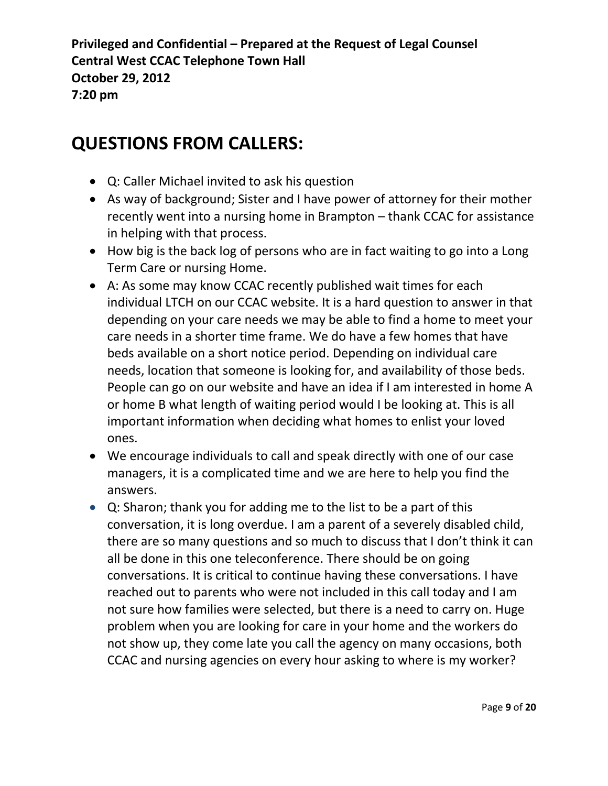- Q: Caller Michael invited to ask his question
- As way of background; Sister and I have power of attorney for their mother recently went into a nursing home in Brampton – thank CCAC for assistance in helping with that process.
- How big is the back log of persons who are in fact waiting to go into a Long Term Care or nursing Home.
- A: As some may know CCAC recently published wait times for each individual LTCH on our CCAC website. It is a hard question to answer in that depending on your care needs we may be able to find a home to meet your care needs in a shorter time frame. We do have a few homes that have beds available on a short notice period. Depending on individual care needs, location that someone is looking for, and availability of those beds. People can go on our website and have an idea if I am interested in home A or home B what length of waiting period would I be looking at. This is all important information when deciding what homes to enlist your loved ones.
- We encourage individuals to call and speak directly with one of our case managers, it is a complicated time and we are here to help you find the answers.
- Q: Sharon; thank you for adding me to the list to be a part of this conversation, it is long overdue. I am a parent of a severely disabled child, there are so many questions and so much to discuss that I don't think it can all be done in this one teleconference. There should be on going conversations. It is critical to continue having these conversations. I have reached out to parents who were not included in this call today and I am not sure how families were selected, but there is a need to carry on. Huge problem when you are looking for care in your home and the workers do not show up, they come late you call the agency on many occasions, both CCAC and nursing agencies on every hour asking to where is my worker?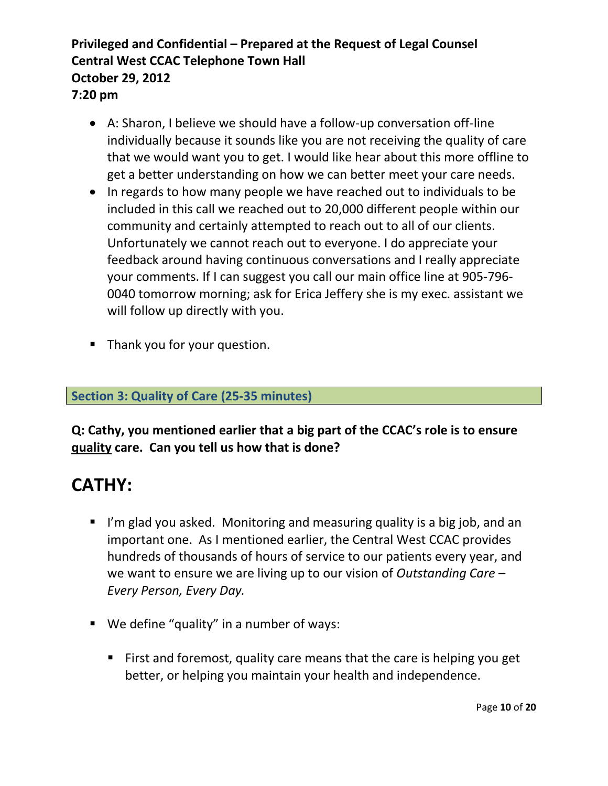- A: Sharon, I believe we should have a follow-up conversation off-line individually because it sounds like you are not receiving the quality of care that we would want you to get. I would like hear about this more offline to get a better understanding on how we can better meet your care needs.
- In regards to how many people we have reached out to individuals to be included in this call we reached out to 20,000 different people within our community and certainly attempted to reach out to all of our clients. Unfortunately we cannot reach out to everyone. I do appreciate your feedback around having continuous conversations and I really appreciate your comments. If I can suggest you call our main office line at 905-796- 0040 tomorrow morning; ask for Erica Jeffery she is my exec. assistant we will follow up directly with you.
- Thank you for your question.

#### **Section 3: Quality of Care (25-35 minutes)**

**Q: Cathy, you mentioned earlier that a big part of the CCAC's role is to ensure quality care. Can you tell us how that is done?**

- I'm glad you asked. Monitoring and measuring quality is a big job, and an important one. As I mentioned earlier, the Central West CCAC provides hundreds of thousands of hours of service to our patients every year, and we want to ensure we are living up to our vision of *Outstanding Care – Every Person, Every Day.*
- We define "quality" in a number of ways:
	- First and foremost, quality care means that the care is helping you get better, or helping you maintain your health and independence.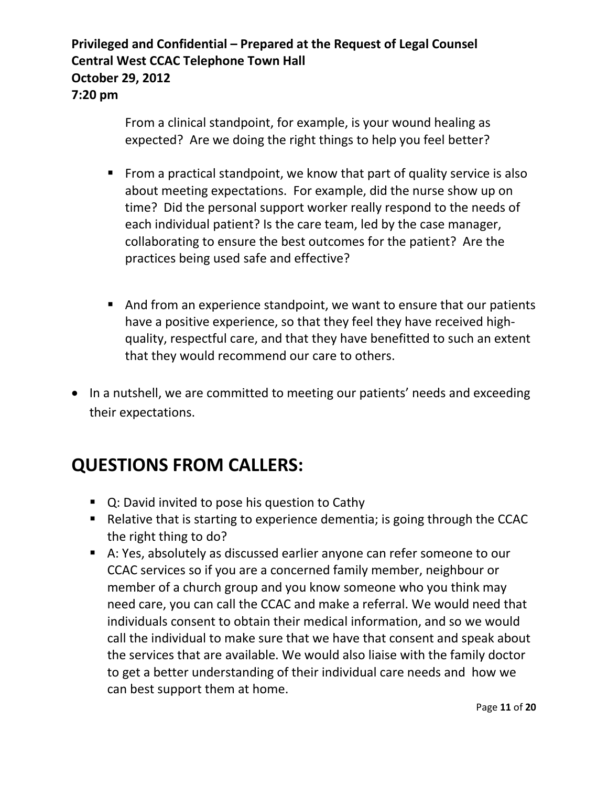> From a clinical standpoint, for example, is your wound healing as expected? Are we doing the right things to help you feel better?

- From a practical standpoint, we know that part of quality service is also about meeting expectations. For example, did the nurse show up on time? Did the personal support worker really respond to the needs of each individual patient? Is the care team, led by the case manager, collaborating to ensure the best outcomes for the patient? Are the practices being used safe and effective?
- And from an experience standpoint, we want to ensure that our patients have a positive experience, so that they feel they have received highquality, respectful care, and that they have benefitted to such an extent that they would recommend our care to others.
- In a nutshell, we are committed to meeting our patients' needs and exceeding their expectations.

- Q: David invited to pose his question to Cathy
- Relative that is starting to experience dementia; is going through the CCAC the right thing to do?
- A: Yes, absolutely as discussed earlier anyone can refer someone to our CCAC services so if you are a concerned family member, neighbour or member of a church group and you know someone who you think may need care, you can call the CCAC and make a referral. We would need that individuals consent to obtain their medical information, and so we would call the individual to make sure that we have that consent and speak about the services that are available. We would also liaise with the family doctor to get a better understanding of their individual care needs and how we can best support them at home.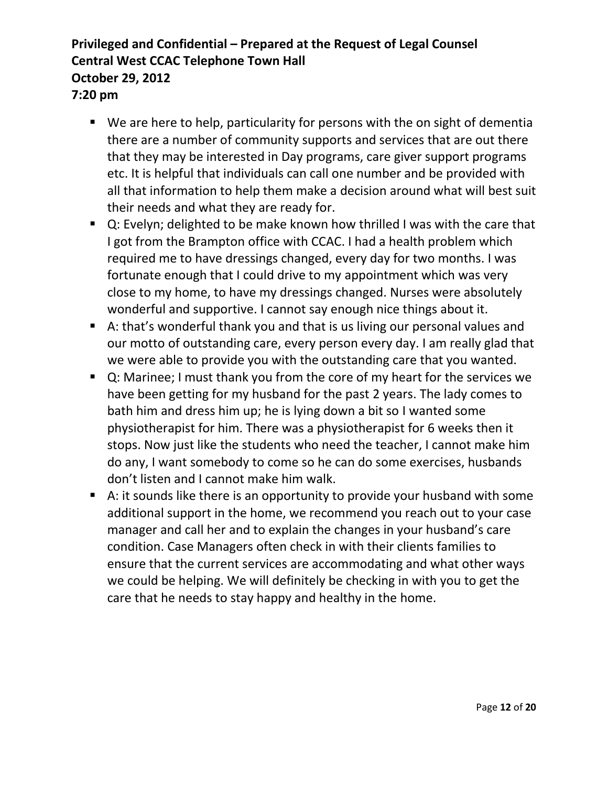- We are here to help, particularity for persons with the on sight of dementia there are a number of community supports and services that are out there that they may be interested in Day programs, care giver support programs etc. It is helpful that individuals can call one number and be provided with all that information to help them make a decision around what will best suit their needs and what they are ready for.
- Q: Evelyn; delighted to be make known how thrilled I was with the care that I got from the Brampton office with CCAC. I had a health problem which required me to have dressings changed, every day for two months. I was fortunate enough that I could drive to my appointment which was very close to my home, to have my dressings changed. Nurses were absolutely wonderful and supportive. I cannot say enough nice things about it.
- A: that's wonderful thank you and that is us living our personal values and our motto of outstanding care, every person every day. I am really glad that we were able to provide you with the outstanding care that you wanted.
- Q: Marinee; I must thank you from the core of my heart for the services we have been getting for my husband for the past 2 years. The lady comes to bath him and dress him up; he is lying down a bit so I wanted some physiotherapist for him. There was a physiotherapist for 6 weeks then it stops. Now just like the students who need the teacher, I cannot make him do any, I want somebody to come so he can do some exercises, husbands don't listen and I cannot make him walk.
- A: it sounds like there is an opportunity to provide your husband with some additional support in the home, we recommend you reach out to your case manager and call her and to explain the changes in your husband's care condition. Case Managers often check in with their clients families to ensure that the current services are accommodating and what other ways we could be helping. We will definitely be checking in with you to get the care that he needs to stay happy and healthy in the home.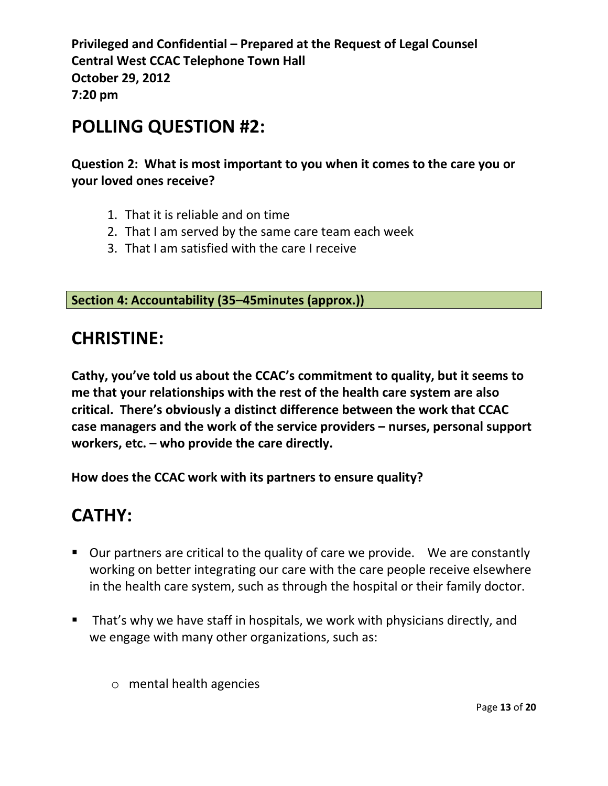### **POLLING QUESTION #2:**

**Question 2: What is most important to you when it comes to the care you or your loved ones receive?**

- 1. That it is reliable and on time
- 2. That I am served by the same care team each week
- 3. That I am satisfied with the care I receive

**Section 4: Accountability (35–45minutes (approx.))**

### **CHRISTINE:**

**Cathy, you've told us about the CCAC's commitment to quality, but it seems to me that your relationships with the rest of the health care system are also critical. There's obviously a distinct difference between the work that CCAC case managers and the work of the service providers – nurses, personal support workers, etc. – who provide the care directly.** 

**How does the CCAC work with its partners to ensure quality?**

- **Dure partners are critical to the quality of care we provide. We are constantly Ups** working on better integrating our care with the care people receive elsewhere in the health care system, such as through the hospital or their family doctor.
- **That's why we have staff in hospitals, we work with physicians directly, and** we engage with many other organizations, such as:
	- o mental health agencies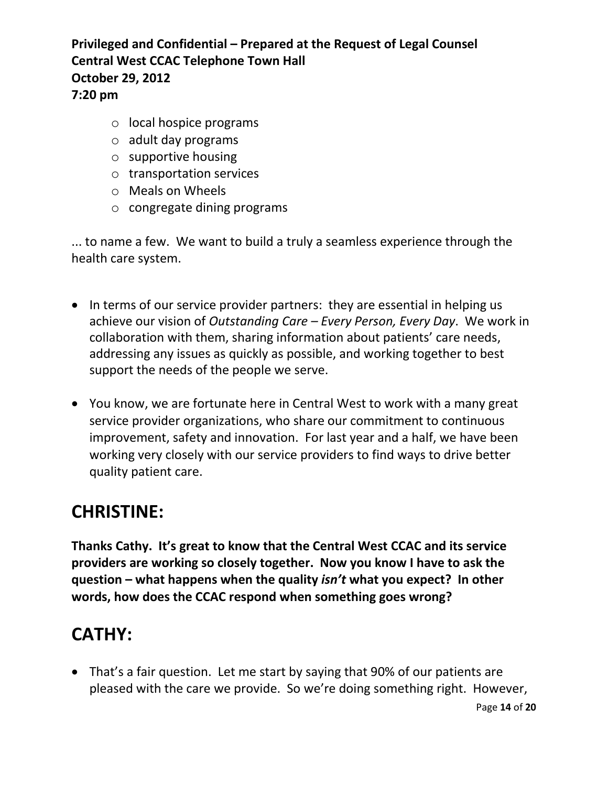- o local hospice programs
- o adult day programs
- o supportive housing
- o transportation services
- o Meals on Wheels
- o congregate dining programs

... to name a few. We want to build a truly a seamless experience through the health care system.

- In terms of our service provider partners: they are essential in helping us achieve our vision of *Outstanding Care – Every Person, Every Day*. We work in collaboration with them, sharing information about patients' care needs, addressing any issues as quickly as possible, and working together to best support the needs of the people we serve.
- You know, we are fortunate here in Central West to work with a many great service provider organizations, who share our commitment to continuous improvement, safety and innovation. For last year and a half, we have been working very closely with our service providers to find ways to drive better quality patient care.

## **CHRISTINE:**

**Thanks Cathy. It's great to know that the Central West CCAC and its service providers are working so closely together. Now you know I have to ask the question – what happens when the quality** *isn't* **what you expect? In other words, how does the CCAC respond when something goes wrong?**

# **CATHY:**

• That's a fair question. Let me start by saying that 90% of our patients are pleased with the care we provide. So we're doing something right. However,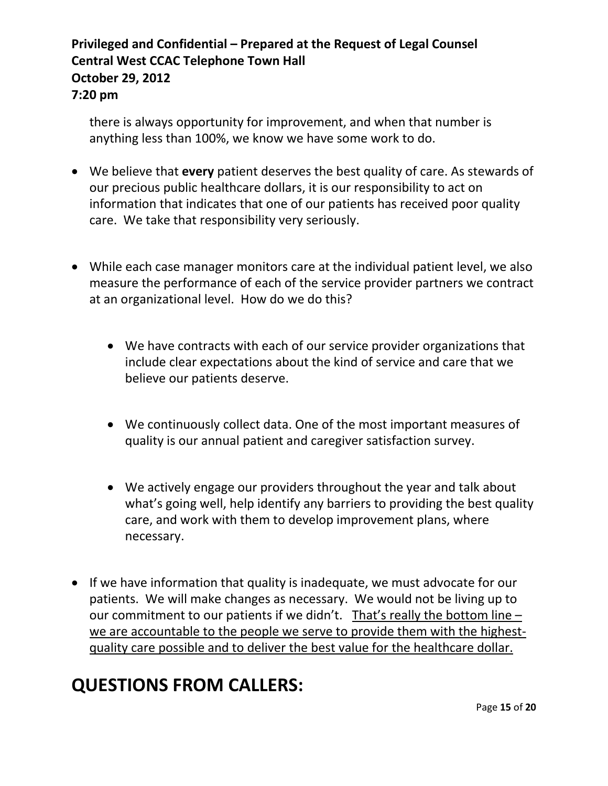there is always opportunity for improvement, and when that number is anything less than 100%, we know we have some work to do.

- We believe that **every** patient deserves the best quality of care. As stewards of our precious public healthcare dollars, it is our responsibility to act on information that indicates that one of our patients has received poor quality care. We take that responsibility very seriously.
- While each case manager monitors care at the individual patient level, we also measure the performance of each of the service provider partners we contract at an organizational level. How do we do this?
	- We have contracts with each of our service provider organizations that include clear expectations about the kind of service and care that we believe our patients deserve.
	- We continuously collect data. One of the most important measures of quality is our annual patient and caregiver satisfaction survey.
	- We actively engage our providers throughout the year and talk about what's going well, help identify any barriers to providing the best quality care, and work with them to develop improvement plans, where necessary.
- If we have information that quality is inadequate, we must advocate for our patients. We will make changes as necessary. We would not be living up to our commitment to our patients if we didn't. That's really the bottom line – we are accountable to the people we serve to provide them with the highestquality care possible and to deliver the best value for the healthcare dollar.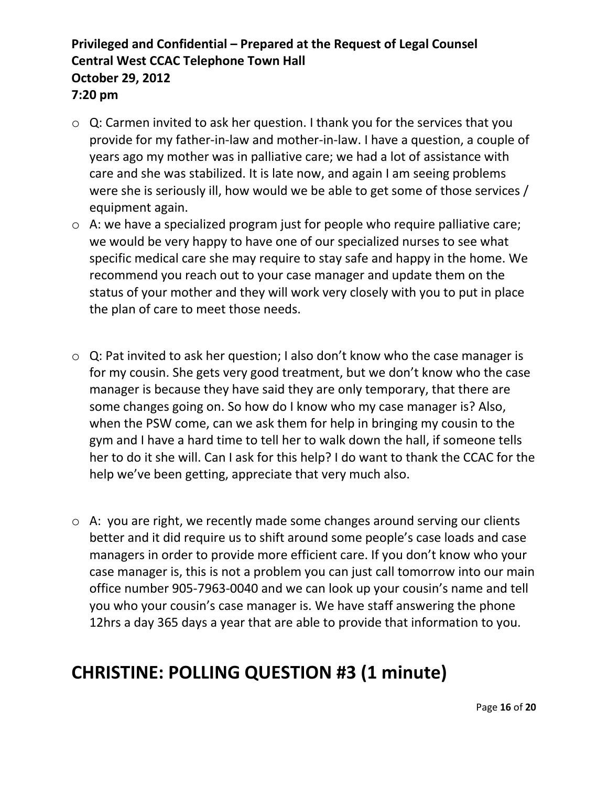- o Q: Carmen invited to ask her question. I thank you for the services that you provide for my father-in-law and mother-in-law. I have a question, a couple of years ago my mother was in palliative care; we had a lot of assistance with care and she was stabilized. It is late now, and again I am seeing problems were she is seriously ill, how would we be able to get some of those services / equipment again.
- o A: we have a specialized program just for people who require palliative care; we would be very happy to have one of our specialized nurses to see what specific medical care she may require to stay safe and happy in the home. We recommend you reach out to your case manager and update them on the status of your mother and they will work very closely with you to put in place the plan of care to meet those needs.
- $\circ$  Q: Pat invited to ask her question; I also don't know who the case manager is for my cousin. She gets very good treatment, but we don't know who the case manager is because they have said they are only temporary, that there are some changes going on. So how do I know who my case manager is? Also, when the PSW come, can we ask them for help in bringing my cousin to the gym and I have a hard time to tell her to walk down the hall, if someone tells her to do it she will. Can I ask for this help? I do want to thank the CCAC for the help we've been getting, appreciate that very much also.
- o A: you are right, we recently made some changes around serving our clients better and it did require us to shift around some people's case loads and case managers in order to provide more efficient care. If you don't know who your case manager is, this is not a problem you can just call tomorrow into our main office number 905-7963-0040 and we can look up your cousin's name and tell you who your cousin's case manager is. We have staff answering the phone 12hrs a day 365 days a year that are able to provide that information to you.

# **CHRISTINE: POLLING QUESTION #3 (1 minute)**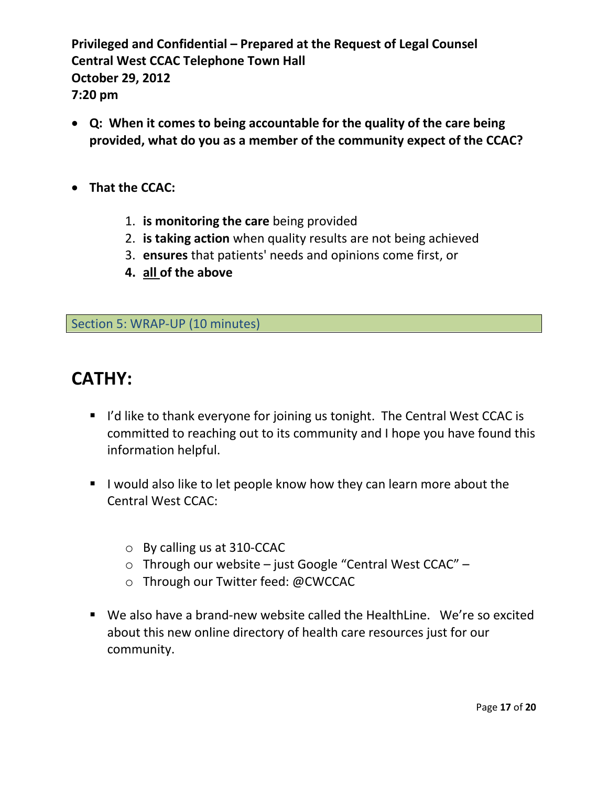- **Q: When it comes to being accountable for the quality of the care being provided, what do you as a member of the community expect of the CCAC?**
- **That the CCAC:**
	- 1. **is monitoring the care** being provided
	- 2. **is taking action** when quality results are not being achieved
	- 3. **ensures** that patients' needs and opinions come first, or
	- **4. all of the above**

Section 5: WRAP-UP (10 minutes)

- I I'd like to thank everyone for joining us tonight. The Central West CCAC is committed to reaching out to its community and I hope you have found this information helpful.
- I would also like to let people know how they can learn more about the Central West CCAC:
	- o By calling us at 310-CCAC
	- o Through our website just Google "Central West CCAC" –
	- o Through our Twitter feed: @CWCCAC
- We also have a brand-new website called the HealthLine. We're so excited about this new online directory of health care resources just for our community.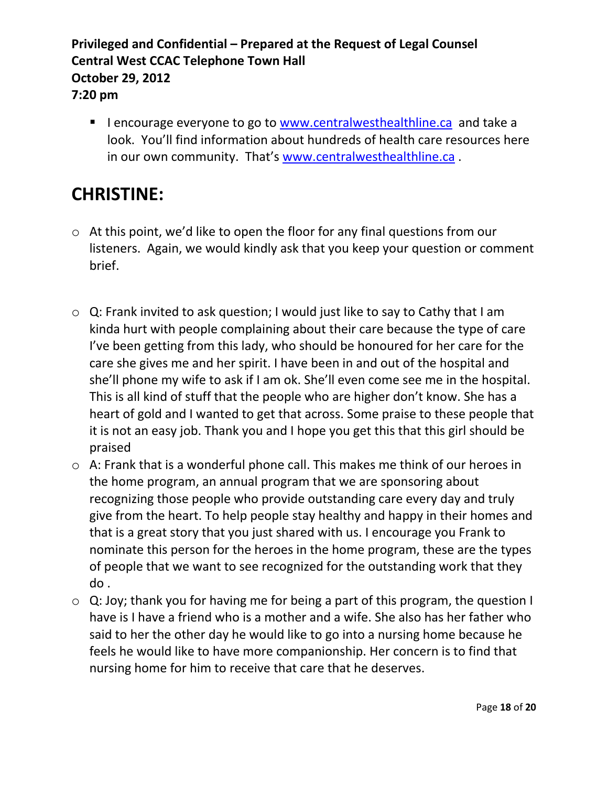I encourage everyone to go to [www.centralwesthealthline.ca](http://www.centralwesthealthline.ca/) and take a look. You'll find information about hundreds of health care resources here in our own community. That's [www.centralwesthealthline.ca](http://www.centralwesthealthline.ca/) .

# **CHRISTINE:**

- o At this point, we'd like to open the floor for any final questions from our listeners. Again, we would kindly ask that you keep your question or comment brief.
- o Q: Frank invited to ask question; I would just like to say to Cathy that I am kinda hurt with people complaining about their care because the type of care I've been getting from this lady, who should be honoured for her care for the care she gives me and her spirit. I have been in and out of the hospital and she'll phone my wife to ask if I am ok. She'll even come see me in the hospital. This is all kind of stuff that the people who are higher don't know. She has a heart of gold and I wanted to get that across. Some praise to these people that it is not an easy job. Thank you and I hope you get this that this girl should be praised
- o A: Frank that is a wonderful phone call. This makes me think of our heroes in the home program, an annual program that we are sponsoring about recognizing those people who provide outstanding care every day and truly give from the heart. To help people stay healthy and happy in their homes and that is a great story that you just shared with us. I encourage you Frank to nominate this person for the heroes in the home program, these are the types of people that we want to see recognized for the outstanding work that they do .
- o Q: Joy; thank you for having me for being a part of this program, the question I have is I have a friend who is a mother and a wife. She also has her father who said to her the other day he would like to go into a nursing home because he feels he would like to have more companionship. Her concern is to find that nursing home for him to receive that care that he deserves.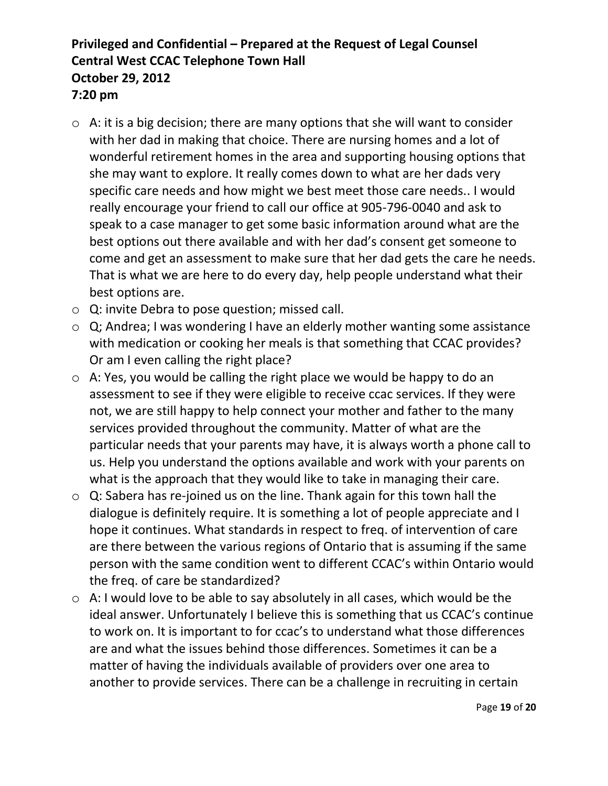- o A: it is a big decision; there are many options that she will want to consider with her dad in making that choice. There are nursing homes and a lot of wonderful retirement homes in the area and supporting housing options that she may want to explore. It really comes down to what are her dads very specific care needs and how might we best meet those care needs.. I would really encourage your friend to call our office at 905-796-0040 and ask to speak to a case manager to get some basic information around what are the best options out there available and with her dad's consent get someone to come and get an assessment to make sure that her dad gets the care he needs. That is what we are here to do every day, help people understand what their best options are.
- o Q: invite Debra to pose question; missed call.
- o Q; Andrea; I was wondering I have an elderly mother wanting some assistance with medication or cooking her meals is that something that CCAC provides? Or am I even calling the right place?
- o A: Yes, you would be calling the right place we would be happy to do an assessment to see if they were eligible to receive ccac services. If they were not, we are still happy to help connect your mother and father to the many services provided throughout the community. Matter of what are the particular needs that your parents may have, it is always worth a phone call to us. Help you understand the options available and work with your parents on what is the approach that they would like to take in managing their care.
- o Q: Sabera has re-joined us on the line. Thank again for this town hall the dialogue is definitely require. It is something a lot of people appreciate and I hope it continues. What standards in respect to freq. of intervention of care are there between the various regions of Ontario that is assuming if the same person with the same condition went to different CCAC's within Ontario would the freq. of care be standardized?
- o A: I would love to be able to say absolutely in all cases, which would be the ideal answer. Unfortunately I believe this is something that us CCAC's continue to work on. It is important to for ccac's to understand what those differences are and what the issues behind those differences. Sometimes it can be a matter of having the individuals available of providers over one area to another to provide services. There can be a challenge in recruiting in certain